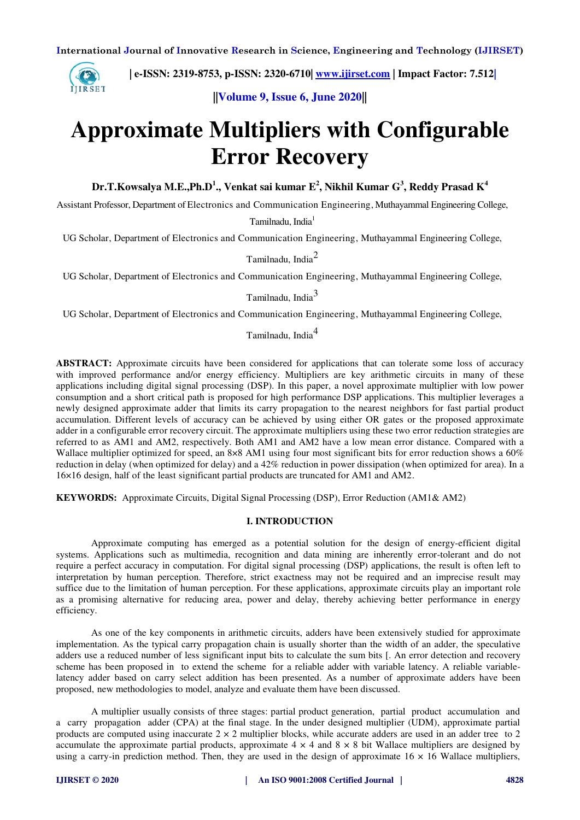

 **| e-ISSN: 2319-8753, p-ISSN: 2320-6710| [www.ijirset.com](http://www.ijirset.com/) | Impact Factor: 7.512|**

**||Volume 9, Issue 6, June 2020||** 

# **Approximate Multipliers with Configurable Error Recovery**

**Dr.T.Kowsalya M.E.,Ph.D<sup>1</sup> ., Venkat sai kumar E<sup>2</sup> , Nikhil Kumar G<sup>3</sup> , Reddy Prasad K<sup>4</sup>**

Assistant Professor, Department of Electronics and Communication Engineering, Muthayammal Engineering College,

Tamilnadu, India<sup>1</sup>

UG Scholar, Department of Electronics and Communication Engineering, Muthayammal Engineering College,

Tamilnadu, India<sup>2</sup>

UG Scholar, Department of Electronics and Communication Engineering, Muthayammal Engineering College,

Tamilnadu, India<sup>3</sup>

UG Scholar, Department of Electronics and Communication Engineering, Muthayammal Engineering College,

Tamilnadu, India<sup>4</sup>

**ABSTRACT:** Approximate circuits have been considered for applications that can tolerate some loss of accuracy with improved performance and/or energy efficiency. Multipliers are key arithmetic circuits in many of these applications including digital signal processing (DSP). In this paper, a novel approximate multiplier with low power consumption and a short critical path is proposed for high performance DSP applications. This multiplier leverages a newly designed approximate adder that limits its carry propagation to the nearest neighbors for fast partial product accumulation. Different levels of accuracy can be achieved by using either OR gates or the proposed approximate adder in a configurable error recovery circuit. The approximate multipliers using these two error reduction strategies are referred to as AM1 and AM2, respectively. Both AM1 and AM2 have a low mean error distance. Compared with a Wallace multiplier optimized for speed, an 8×8 AM1 using four most significant bits for error reduction shows a 60% reduction in delay (when optimized for delay) and a 42% reduction in power dissipation (when optimized for area). In a 16×16 design, half of the least significant partial products are truncated for AM1 and AM2.

**KEYWORDS:**Approximate Circuits, Digital Signal Processing (DSP), Error Reduction (AM1& AM2)

## **I. INTRODUCTION**

Approximate computing has emerged as a potential solution for the design of energy-efficient digital systems. Applications such as multimedia, recognition and data mining are inherently error-tolerant and do not require a perfect accuracy in computation. For digital signal processing (DSP) applications, the result is often left to interpretation by human perception. Therefore, strict exactness may not be required and an imprecise result may suffice due to the limitation of human perception. For these applications, approximate circuits play an important role as a promising alternative for reducing area, power and delay, thereby achieving better performance in energy efficiency.

As one of the key components in arithmetic circuits, adders have been extensively studied for approximate implementation. As the typical carry propagation chain is usually shorter than the width of an adder, the speculative adders use a reduced number of less significant input bits to calculate the sum bits [. An error detection and recovery scheme has been proposed in to extend the scheme for a reliable adder with variable latency. A reliable variablelatency adder based on carry select addition has been presented. As a number of approximate adders have been proposed, new methodologies to model, analyze and evaluate them have been discussed.

A multiplier usually consists of three stages: partial product generation, partial product accumulation and a carry propagation adder (CPA) at the final stage. In the under designed multiplier (UDM), approximate partial products are computed using inaccurate  $2 \times 2$  multiplier blocks, while accurate adders are used in an adder tree to 2 accumulate the approximate partial products, approximate  $4 \times 4$  and  $8 \times 8$  bit Wallace multipliers are designed by using a carry-in prediction method. Then, they are used in the design of approximate  $16 \times 16$  Wallace multipliers,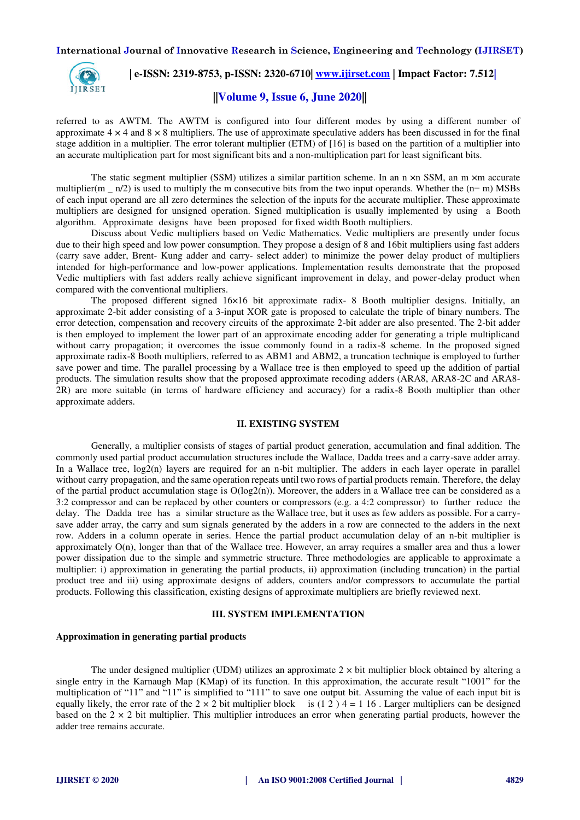

## **| e-ISSN: 2319-8753, p-ISSN: 2320-6710| [www.ijirset.com](http://www.ijirset.com/) | Impact Factor: 7.512|**

# **||Volume 9, Issue 6, June 2020||**

referred to as AWTM. The AWTM is configured into four different modes by using a different number of approximate  $4 \times 4$  and  $8 \times 8$  multipliers. The use of approximate speculative adders has been discussed in for the final stage addition in a multiplier. The error tolerant multiplier (ETM) of [16] is based on the partition of a multiplier into an accurate multiplication part for most significant bits and a non-multiplication part for least significant bits.

The static segment multiplier (SSM) utilizes a similar partition scheme. In an n  $\times$ n SSM, an m  $\times$ m accurate multiplier(m  $\pi/2$ ) is used to multiply the m consecutive bits from the two input operands. Whether the  $(n-m)$  MSBs of each input operand are all zero determines the selection of the inputs for the accurate multiplier. These approximate multipliers are designed for unsigned operation. Signed multiplication is usually implemented by using a Booth algorithm. Approximate designs have been proposed for fixed width Booth multipliers.

Discuss about Vedic multipliers based on Vedic Mathematics. Vedic multipliers are presently under focus due to their high speed and low power consumption. They propose a design of 8 and 16bit multipliers using fast adders (carry save adder, Brent- Kung adder and carry- select adder) to minimize the power delay product of multipliers intended for high-performance and low-power applications. Implementation results demonstrate that the proposed Vedic multipliers with fast adders really achieve significant improvement in delay, and power-delay product when compared with the conventional multipliers.

The proposed different signed 16×16 bit approximate radix- 8 Booth multiplier designs. Initially, an approximate 2-bit adder consisting of a 3-input XOR gate is proposed to calculate the triple of binary numbers. The error detection, compensation and recovery circuits of the approximate 2-bit adder are also presented. The 2-bit adder is then employed to implement the lower part of an approximate encoding adder for generating a triple multiplicand without carry propagation; it overcomes the issue commonly found in a radix-8 scheme. In the proposed signed approximate radix-8 Booth multipliers, referred to as ABM1 and ABM2, a truncation technique is employed to further save power and time. The parallel processing by a Wallace tree is then employed to speed up the addition of partial products. The simulation results show that the proposed approximate recoding adders (ARA8, ARA8-2C and ARA8- 2R) are more suitable (in terms of hardware efficiency and accuracy) for a radix-8 Booth multiplier than other approximate adders.

#### **II. EXISTING SYSTEM**

Generally, a multiplier consists of stages of partial product generation, accumulation and final addition. The commonly used partial product accumulation structures include the Wallace, Dadda trees and a carry-save adder array. In a Wallace tree, log2(n) layers are required for an n-bit multiplier. The adders in each layer operate in parallel without carry propagation, and the same operation repeats until two rows of partial products remain. Therefore, the delay of the partial product accumulation stage is  $O(log2(n))$ . Moreover, the adders in a Wallace tree can be considered as a 3:2 compressor and can be replaced by other counters or compressors (e.g. a 4:2 compressor) to further reduce the delay. The Dadda tree has a similar structure as the Wallace tree, but it uses as few adders as possible. For a carrysave adder array, the carry and sum signals generated by the adders in a row are connected to the adders in the next row. Adders in a column operate in series. Hence the partial product accumulation delay of an n-bit multiplier is approximately O(n), longer than that of the Wallace tree. However, an array requires a smaller area and thus a lower power dissipation due to the simple and symmetric structure. Three methodologies are applicable to approximate a multiplier: i) approximation in generating the partial products, ii) approximation (including truncation) in the partial product tree and iii) using approximate designs of adders, counters and/or compressors to accumulate the partial products. Following this classification, existing designs of approximate multipliers are briefly reviewed next.

## **III. SYSTEM IMPLEMENTATION**

#### **Approximation in generating partial products**

The under designed multiplier (UDM) utilizes an approximate  $2 \times$  bit multiplier block obtained by altering a single entry in the Karnaugh Map (KMap) of its function. In this approximation, the accurate result "1001" for the multiplication of "11" and "11" is simplified to "111" to save one output bit. Assuming the value of each input bit is equally likely, the error rate of the  $2 \times 2$  bit multiplier block is (1 2 ) 4 = 1 16. Larger multipliers can be designed based on the  $2 \times 2$  bit multiplier. This multiplier introduces an error when generating partial products, however the adder tree remains accurate.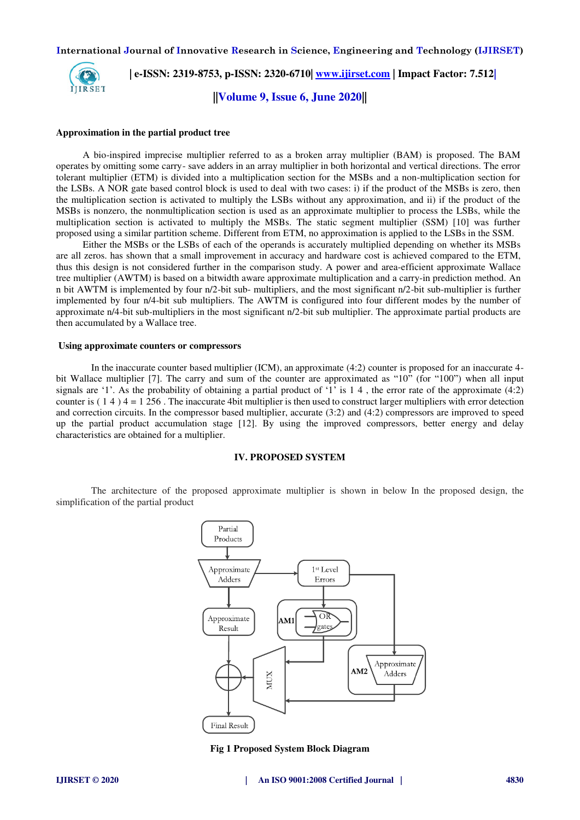

 **| e-ISSN: 2319-8753, p-ISSN: 2320-6710| [www.ijirset.com](http://www.ijirset.com/) | Impact Factor: 7.512|**

**||Volume 9, Issue 6, June 2020||** 

#### **Approximation in the partial product tree**

A bio-inspired imprecise multiplier referred to as a broken array multiplier (BAM) is proposed. The BAM operates by omitting some carry- save adders in an array multiplier in both horizontal and vertical directions. The error tolerant multiplier (ETM) is divided into a multiplication section for the MSBs and a non-multiplication section for the LSBs. A NOR gate based control block is used to deal with two cases: i) if the product of the MSBs is zero, then the multiplication section is activated to multiply the LSBs without any approximation, and ii) if the product of the MSBs is nonzero, the nonmultiplication section is used as an approximate multiplier to process the LSBs, while the multiplication section is activated to multiply the MSBs. The static segment multiplier (SSM) [10] was further proposed using a similar partition scheme. Different from ETM, no approximation is applied to the LSBs in the SSM.

Either the MSBs or the LSBs of each of the operands is accurately multiplied depending on whether its MSBs are all zeros. has shown that a small improvement in accuracy and hardware cost is achieved compared to the ETM, thus this design is not considered further in the comparison study. A power and area-efficient approximate Wallace tree multiplier (AWTM) is based on a bitwidth aware approximate multiplication and a carry-in prediction method. An n bit AWTM is implemented by four n/2-bit sub- multipliers, and the most significant n/2-bit sub-multiplier is further implemented by four n/4-bit sub multipliers. The AWTM is configured into four different modes by the number of approximate n/4-bit sub-multipliers in the most significant n/2-bit sub multiplier. The approximate partial products are then accumulated by a Wallace tree.

#### **Using approximate counters or compressors**

In the inaccurate counter based multiplier (ICM), an approximate (4:2) counter is proposed for an inaccurate 4 bit Wallace multiplier [7]. The carry and sum of the counter are approximated as "10" (for "100") when all input signals are '1'. As the probability of obtaining a partial product of '1' is  $1\ 4$ , the error rate of the approximate (4:2) counter is  $(1 4)$  4 = 1 256. The inaccurate 4bit multiplier is then used to construct larger multipliers with error detection and correction circuits. In the compressor based multiplier, accurate (3:2) and (4:2) compressors are improved to speed up the partial product accumulation stage [12]. By using the improved compressors, better energy and delay characteristics are obtained for a multiplier.

## **IV. PROPOSED SYSTEM**

The architecture of the proposed approximate multiplier is shown in below In the proposed design, the simplification of the partial product



**Fig 1 Proposed System Block Diagram**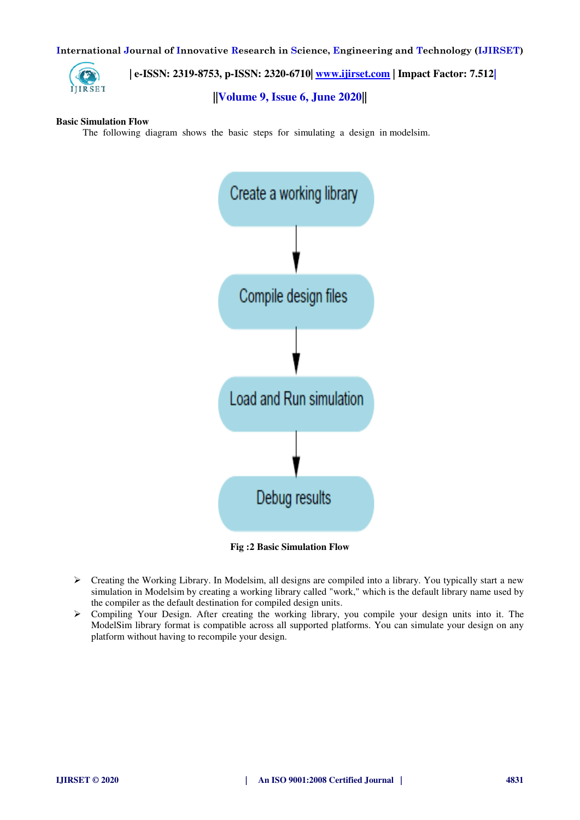

 **| e-ISSN: 2319-8753, p-ISSN: 2320-6710| [www.ijirset.com](http://www.ijirset.com/) | Impact Factor: 7.512|**

# **||Volume 9, Issue 6, June 2020||**

## **Basic Simulation Flow**

The following diagram shows the basic steps for simulating a design in modelsim.



**Fig :2 Basic Simulation Flow** 

- Creating the Working Library. In Modelsim, all designs are compiled into a library. You typically start a new simulation in Modelsim by creating a working library called "work," which is the default library name used by the compiler as the default destination for compiled design units.
- Compiling Your Design. After creating the working library, you compile your design units into it. The ModelSim library format is compatible across all supported platforms. You can simulate your design on any platform without having to recompile your design.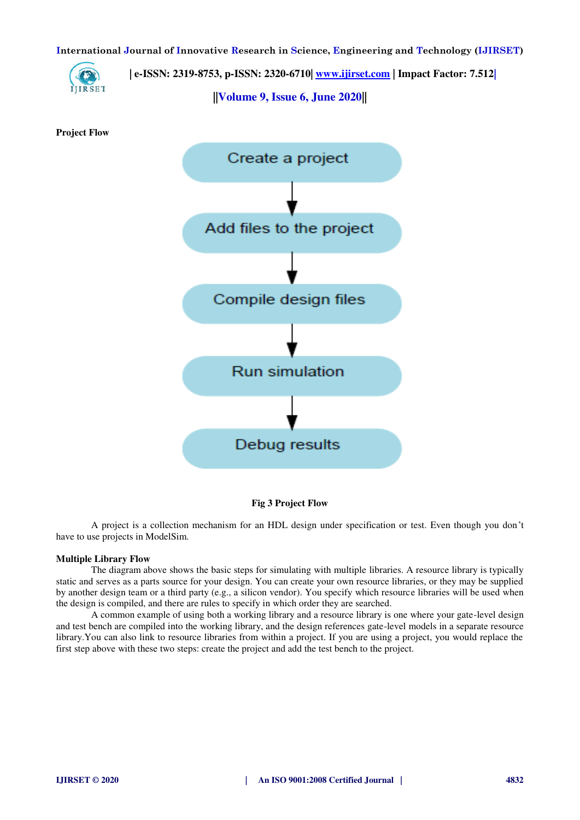

 **| e-ISSN: 2319-8753, p-ISSN: 2320-6710| [www.ijirset.com](http://www.ijirset.com/) | Impact Factor: 7.512|**

**||Volume 9, Issue 6, June 2020||** 

**Project Flow** 



**Fig 3 Project Flow** 

A project is a collection mechanism for an HDL design under specification or test. Even though you don't have to use projects in ModelSim.

#### **Multiple Library Flow**

The diagram above shows the basic steps for simulating with multiple libraries. A resource library is typically static and serves as a parts source for your design. You can create your own resource libraries, or they may be supplied by another design team or a third party (e.g., a silicon vendor). You specify which resource libraries will be used when the design is compiled, and there are rules to specify in which order they are searched.

A common example of using both a working library and a resource library is one where your gate-level design and test bench are compiled into the working library, and the design references gate-level models in a separate resource library.You can also link to resource libraries from within a project. If you are using a project, you would replace the first step above with these two steps: create the project and add the test bench to the project.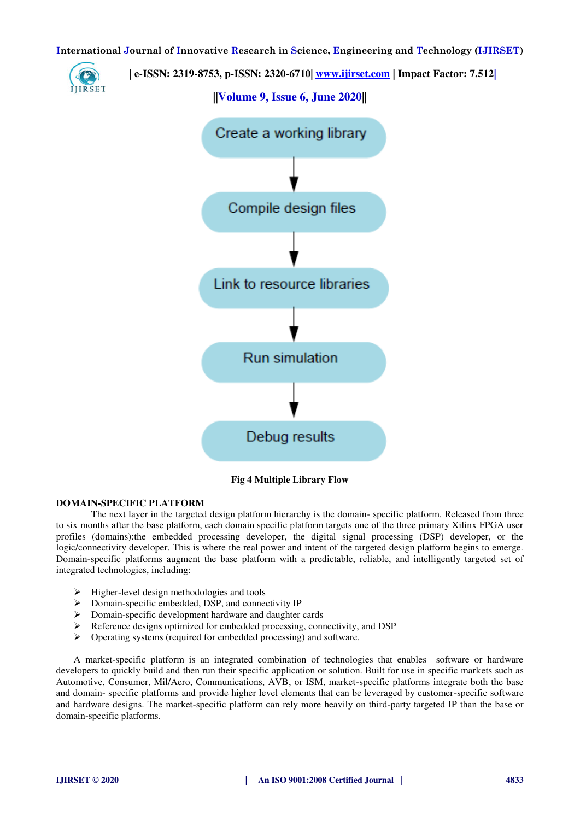

**Fig 4 Multiple Library Flow** 

## **DOMAIN-SPECIFIC PLATFORM**

The next layer in the targeted design platform hierarchy is the domain- specific platform. Released from three to six months after the base platform, each domain specific platform targets one of the three primary Xilinx FPGA user profiles (domains):the embedded processing developer, the digital signal processing (DSP) developer, or the logic/connectivity developer. This is where the real power and intent of the targeted design platform begins to emerge. Domain-specific platforms augment the base platform with a predictable, reliable, and intelligently targeted set of integrated technologies, including:

- $\triangleright$  Higher-level design methodologies and tools
- $\triangleright$  Domain-specific embedded, DSP, and connectivity IP
- $\triangleright$  Domain-specific development hardware and daughter cards
- Reference designs optimized for embedded processing, connectivity, and DSP
- $\triangleright$  Operating systems (required for embedded processing) and software.

A market-specific platform is an integrated combination of technologies that enables software or hardware developers to quickly build and then run their specific application or solution. Built for use in specific markets such as Automotive, Consumer, Mil/Aero, Communications, AVB, or ISM, market-specific platforms integrate both the base and domain- specific platforms and provide higher level elements that can be leveraged by customer-specific software and hardware designs. The market-specific platform can rely more heavily on third-party targeted IP than the base or domain-specific platforms.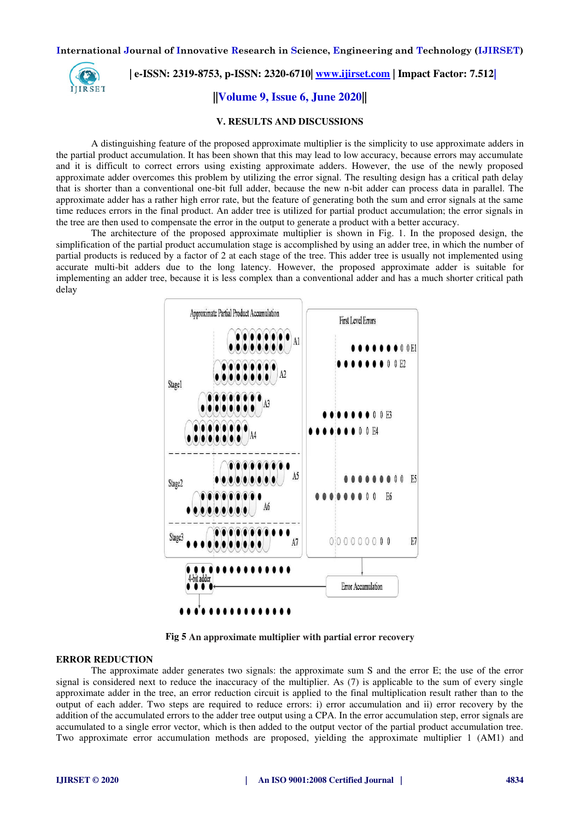

 **| e-ISSN: 2319-8753, p-ISSN: 2320-6710| [www.ijirset.com](http://www.ijirset.com/) | Impact Factor: 7.512|**

**||Volume 9, Issue 6, June 2020||** 

#### **V. RESULTS AND DISCUSSIONS**

A distinguishing feature of the proposed approximate multiplier is the simplicity to use approximate adders in the partial product accumulation. It has been shown that this may lead to low accuracy, because errors may accumulate and it is difficult to correct errors using existing approximate adders. However, the use of the newly proposed approximate adder overcomes this problem by utilizing the error signal. The resulting design has a critical path delay that is shorter than a conventional one-bit full adder, because the new n-bit adder can process data in parallel. The approximate adder has a rather high error rate, but the feature of generating both the sum and error signals at the same time reduces errors in the final product. An adder tree is utilized for partial product accumulation; the error signals in the tree are then used to compensate the error in the output to generate a product with a better accuracy.

The architecture of the proposed approximate multiplier is shown in Fig. 1. In the proposed design, the simplification of the partial product accumulation stage is accomplished by using an adder tree, in which the number of partial products is reduced by a factor of 2 at each stage of the tree. This adder tree is usually not implemented using accurate multi-bit adders due to the long latency. However, the proposed approximate adder is suitable for implementing an adder tree, because it is less complex than a conventional adder and has a much shorter critical path delay



**Fig 5 An approximate multiplier with partial error recovery** 

## **ERROR REDUCTION**

The approximate adder generates two signals: the approximate sum S and the error E; the use of the error signal is considered next to reduce the inaccuracy of the multiplier. As (7) is applicable to the sum of every single approximate adder in the tree, an error reduction circuit is applied to the final multiplication result rather than to the output of each adder. Two steps are required to reduce errors: i) error accumulation and ii) error recovery by the addition of the accumulated errors to the adder tree output using a CPA. In the error accumulation step, error signals are accumulated to a single error vector, which is then added to the output vector of the partial product accumulation tree. Two approximate error accumulation methods are proposed, yielding the approximate multiplier 1 (AM1) and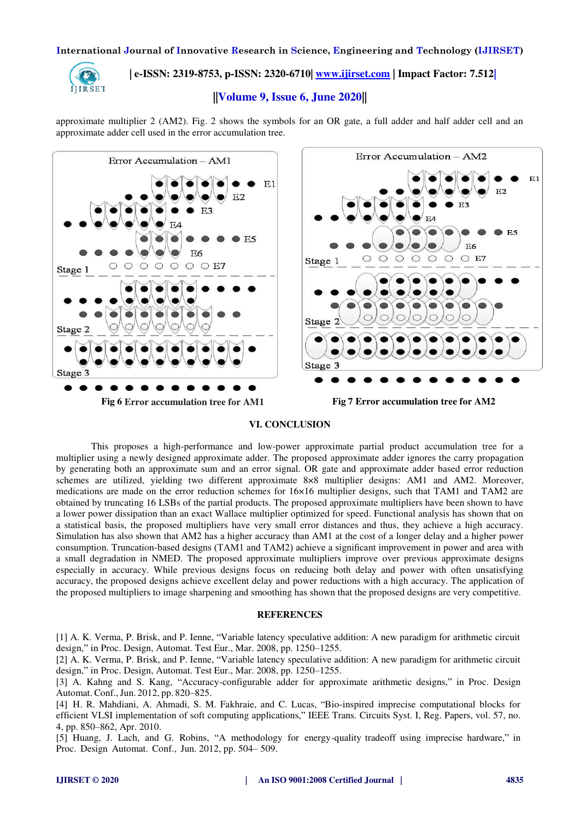

# **| e-ISSN: 2319-8753, p-ISSN: 2320-6710| [www.ijirset.com](http://www.ijirset.com/) | Impact Factor: 7.512|**

## **||Volume 9, Issue 6, June 2020||**

approximate multiplier 2 (AM2). Fig. 2 shows the symbols for an OR gate, a full adder and half adder cell and an approximate adder cell used in the error accumulation tree.



## **VI. CONCLUSION**

This proposes a high-performance and low-power approximate partial product accumulation tree for a multiplier using a newly designed approximate adder. The proposed approximate adder ignores the carry propagation by generating both an approximate sum and an error signal. OR gate and approximate adder based error reduction schemes are utilized, yielding two different approximate 8×8 multiplier designs: AM1 and AM2. Moreover, medications are made on the error reduction schemes for 16×16 multiplier designs, such that TAM1 and TAM2 are obtained by truncating 16 LSBs of the partial products. The proposed approximate multipliers have been shown to have a lower power dissipation than an exact Wallace multiplier optimized for speed. Functional analysis has shown that on a statistical basis, the proposed multipliers have very small error distances and thus, they achieve a high accuracy. Simulation has also shown that AM2 has a higher accuracy than AM1 at the cost of a longer delay and a higher power consumption. Truncation-based designs (TAM1 and TAM2) achieve a significant improvement in power and area with a small degradation in NMED. The proposed approximate multipliers improve over previous approximate designs especially in accuracy. While previous designs focus on reducing both delay and power with often unsatisfying accuracy, the proposed designs achieve excellent delay and power reductions with a high accuracy. The application of the proposed multipliers to image sharpening and smoothing has shown that the proposed designs are very competitive.

#### **REFERENCES**

[1] A. K. Verma, P. Brisk, and P. Ienne, "Variable latency speculative addition: A new paradigm for arithmetic circuit design," in Proc. Design, Automat. Test Eur., Mar. 2008, pp. 1250–1255.

[2] A. K. Verma, P. Brisk, and P. Ienne, "Variable latency speculative addition: A new paradigm for arithmetic circuit design," in Proc. Design, Automat. Test Eur., Mar. 2008, pp. 1250–1255.

[3] A. Kahng and S. Kang, "Accuracy-configurable adder for approximate arithmetic designs," in Proc. Design Automat. Conf., Jun. 2012, pp. 820–825.

[4] H. R. Mahdiani, A. Ahmadi, S. M. Fakhraie, and C. Lucas, "Bio-inspired imprecise computational blocks for efficient VLSI implementation of soft computing applications," IEEE Trans. Circuits Syst. I, Reg. Papers, vol. 57, no. 4, pp. 850–862, Apr. 2010.

[5] Huang, J. Lach, and G. Robins, "A methodology for energy-quality tradeoff using imprecise hardware," in Proc. Design Automat. Conf., Jun. 2012, pp. 504– 509.